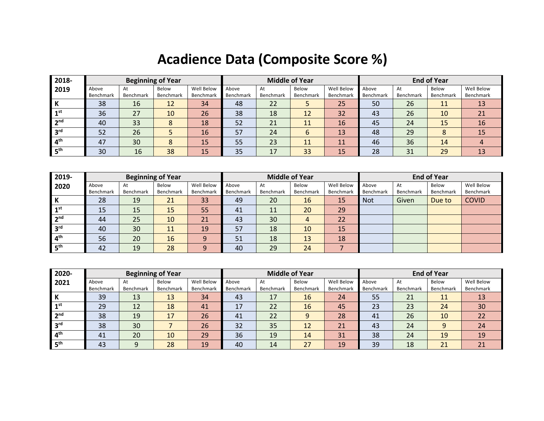## **Acadience Data (Composite Score %)**

| 2018-           |           |           | <b>Beginning of Year</b> |            |           | <b>Middle of Year</b> |           |            | <b>End of Year</b> |           |           |            |
|-----------------|-----------|-----------|--------------------------|------------|-----------|-----------------------|-----------|------------|--------------------|-----------|-----------|------------|
| 2019            | Above     | At        | Below                    | Well Below | Above     | At                    | Below     | Well Below | Above              | At        | Below     | Well Below |
|                 | Benchmark | Benchmark | <b>Benchmark</b>         | Benchmark  | Benchmark | Benchmark             | Benchmark | Benchmark  | Benchmark          | Benchmark | Benchmark | Benchmark  |
| -17             | 38        | 16        | 12                       | 34         | 48        | 22                    |           | 25         | 50                 | 26        | 11        | 13         |
| 1st             | 36        | 27        | 10                       | 26         | 38        | 18                    | 12        | 32         | 43                 | 26        | 10        | 21         |
| າ <sub>nd</sub> | 40        | 33        |                          | 18         | 52        | 21                    | 11        | 16         | 45                 | 24        | 15        | 16         |
| ്വൻ             | 52        | 26        |                          | 16         | 57        | 24                    | b         | 13         | 48                 | 29        |           | 15         |
| 4 <sup>th</sup> | 47        | 30        |                          | 15         | 55        | 23                    | 11        | 11         | 46                 | 36        | 14        |            |
| $E$ th          | 30        | 16        | 38                       | 15         | 35        | 17                    | 33        | 15         | 28                 | 31        | 29        | 13         |

| 2019-            |           |           | <b>Beginning of Year</b> |            |           |           | <b>Middle of Year</b> |                  | <b>End of Year</b> |           |           |              |
|------------------|-----------|-----------|--------------------------|------------|-----------|-----------|-----------------------|------------------|--------------------|-----------|-----------|--------------|
| 2020             | Above     | At        | Below                    | Well Below | Above     | At        | Below                 | Well Below       | Above              | At        | Below     | Well Below   |
|                  | Benchmark | Benchmark | Benchmark                | Benchmark  | Benchmark | Benchmark | Benchmark             | <b>Benchmark</b> | Benchmark          | Benchmark | Benchmark | Benchmark    |
| l K              | 28        | 19        | 21                       | 33         | 49        | 20        | 16                    | 15               | <b>Not</b>         | Given     | Due to    | <b>COVID</b> |
| $1^{\rm st}$     | 15        | 15        | 15                       | 55         | 41        | ᆠ         | 20                    | 29               |                    |           |           |              |
| 2 <sup>nd</sup>  | 44        | 25        | 10                       | 21         | 43        | 30        | 4                     | 22               |                    |           |           |              |
| 3 <sup>rd</sup>  | 40        | 30        | 11                       | 19         | 57        | 18        | 10                    | 15               |                    |           |           |              |
| 4 <sup>th</sup>  | 56        | 20        | 16                       | 9          | 51        | 18        | 13                    | 18               |                    |           |           |              |
| $15^{\text{th}}$ | 42        | 19        | 28                       | 9          | 40        | 29        | 24                    |                  |                    |           |           |              |

| 2020-           |           |           | <b>Beginning of Year</b> |            |           | <b>Middle of Year</b> |                  |            | <b>End of Year</b> |           |           |            |
|-----------------|-----------|-----------|--------------------------|------------|-----------|-----------------------|------------------|------------|--------------------|-----------|-----------|------------|
| 2021            | Above     | At        | Below                    | Well Below | Above     | At                    | Below            | Well Below | Above              | At        | Below     | Well Below |
|                 | Benchmark | Benchmark | Benchmark                | Benchmark  | Benchmark | Benchmark             | <b>Benchmark</b> | Benchmark  | Benchmark          | Benchmark | Benchmark | Benchmark  |
| ĸ               | 39        | 13        | 13                       | 34         | 43        | 17                    | 16               | 24         | 55                 | 21        | 11        | 13         |
| ⊿rst            | 29        | 12        | 18                       | 41         | 17        | 22                    | 16               | 45         | 23                 | 23        | 24        | 30         |
| າnd             | 38        | 19        | 17                       | 26         | 41        | 22                    | 9                | 28         | 41                 | 26        | 10        | 22         |
| ord             | 38        | 30        |                          | 26         | 32        | 35                    | 12               | 21         | 43                 | 24        |           | 24         |
| $4^{\text{th}}$ | 41        | 20        | 10                       | 29         | 36        | 19                    | 14               | 31         | 38                 | 24        | 19        | 19         |
| $E$ th          | 43        | q         | 28                       | 19         | 40        | 14                    | 27               | 19         | 39                 | 18        | 21        | 21         |